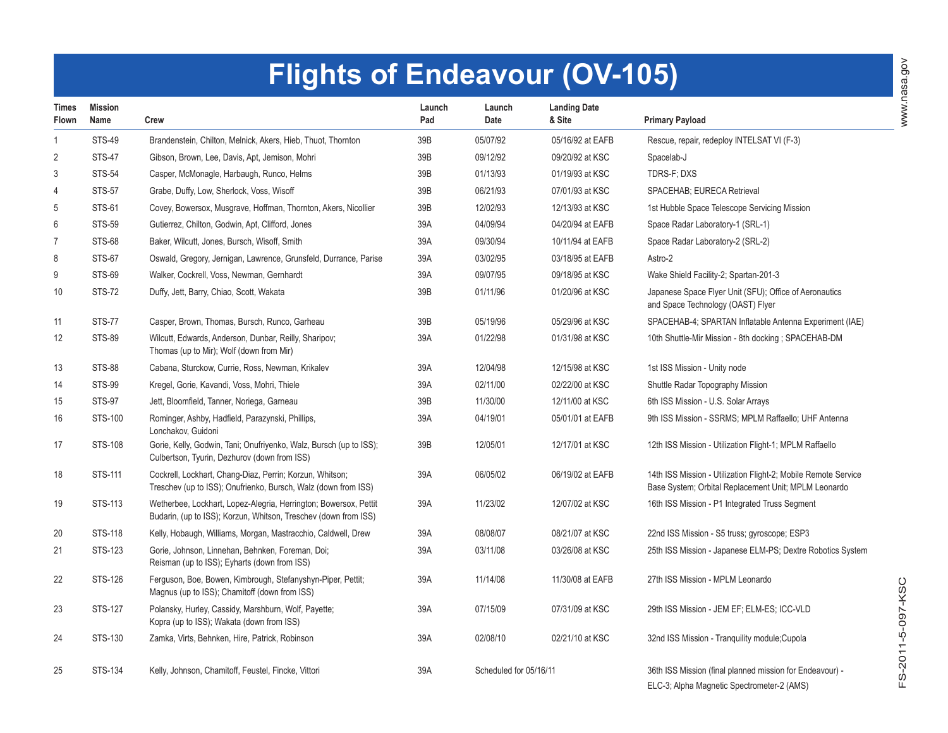## **Flights of Endeavour (OV-105)**

| <b>Times</b><br>Flown | <b>Mission</b><br>Name | Crew                                                                                                                                | Launch<br>Pad | Launch<br>Date         | <b>Landing Date</b><br>& Site | <b>Primary Payload</b>                                                                                                 |
|-----------------------|------------------------|-------------------------------------------------------------------------------------------------------------------------------------|---------------|------------------------|-------------------------------|------------------------------------------------------------------------------------------------------------------------|
| $\mathbf{1}$          | <b>STS-49</b>          | Brandenstein, Chilton, Melnick, Akers, Hieb, Thuot, Thornton                                                                        | 39B           | 05/07/92               | 05/16/92 at EAFB              | Rescue, repair, redeploy INTELSAT VI (F-3)                                                                             |
| $\overline{2}$        | <b>STS-47</b>          | Gibson, Brown, Lee, Davis, Apt, Jemison, Mohri                                                                                      | 39B           | 09/12/92               | 09/20/92 at KSC               | Spacelab-J                                                                                                             |
| 3                     | <b>STS-54</b>          | Casper, McMonagle, Harbaugh, Runco, Helms                                                                                           | 39B           | 01/13/93               | 01/19/93 at KSC               | TDRS-F: DXS                                                                                                            |
| $\overline{4}$        | <b>STS-57</b>          | Grabe, Duffy, Low, Sherlock, Voss, Wisoff                                                                                           | 39B           | 06/21/93               | 07/01/93 at KSC               | SPACEHAB; EURECA Retrieval                                                                                             |
| 5                     | STS-61                 | Covey, Bowersox, Musgrave, Hoffman, Thornton, Akers, Nicollier                                                                      | 39B           | 12/02/93               | 12/13/93 at KSC               | 1st Hubble Space Telescope Servicing Mission                                                                           |
| $\,6\,$               | <b>STS-59</b>          | Gutierrez, Chilton, Godwin, Apt, Clifford, Jones                                                                                    | 39A           | 04/09/94               | 04/20/94 at EAFB              | Space Radar Laboratory-1 (SRL-1)                                                                                       |
| $\overline{7}$        | <b>STS-68</b>          | Baker, Wilcutt, Jones, Bursch, Wisoff, Smith                                                                                        | 39A           | 09/30/94               | 10/11/94 at EAFB              | Space Radar Laboratory-2 (SRL-2)                                                                                       |
| 8                     | <b>STS-67</b>          | Oswald, Gregory, Jernigan, Lawrence, Grunsfeld, Durrance, Parise                                                                    | 39A           | 03/02/95               | 03/18/95 at EAFB              | Astro-2                                                                                                                |
| 9                     | <b>STS-69</b>          | Walker, Cockrell, Voss, Newman, Gernhardt                                                                                           | 39A           | 09/07/95               | 09/18/95 at KSC               | Wake Shield Facility-2; Spartan-201-3                                                                                  |
| 10                    | <b>STS-72</b>          | Duffy, Jett, Barry, Chiao, Scott, Wakata                                                                                            | 39B           | 01/11/96               | 01/20/96 at KSC               | Japanese Space Flyer Unit (SFU); Office of Aeronautics<br>and Space Technology (OAST) Flyer                            |
| 11                    | <b>STS-77</b>          | Casper, Brown, Thomas, Bursch, Runco, Garheau                                                                                       | 39B           | 05/19/96               | 05/29/96 at KSC               | SPACEHAB-4; SPARTAN Inflatable Antenna Experiment (IAE)                                                                |
| 12                    | <b>STS-89</b>          | Wilcutt, Edwards, Anderson, Dunbar, Reilly, Sharipov;<br>Thomas (up to Mir); Wolf (down from Mir)                                   | 39A           | 01/22/98               | 01/31/98 at KSC               | 10th Shuttle-Mir Mission - 8th docking; SPACEHAB-DM                                                                    |
| 13                    | <b>STS-88</b>          | Cabana, Sturckow, Currie, Ross, Newman, Krikalev                                                                                    | 39A           | 12/04/98               | 12/15/98 at KSC               | 1st ISS Mission - Unity node                                                                                           |
| 14                    | <b>STS-99</b>          | Kregel, Gorie, Kavandi, Voss, Mohri, Thiele                                                                                         | 39A           | 02/11/00               | 02/22/00 at KSC               | Shuttle Radar Topography Mission                                                                                       |
| 15                    | <b>STS-97</b>          | Jett, Bloomfield, Tanner, Noriega, Garneau                                                                                          | 39B           | 11/30/00               | 12/11/00 at KSC               | 6th ISS Mission - U.S. Solar Arrays                                                                                    |
| 16                    | STS-100                | Rominger, Ashby, Hadfield, Parazynski, Phillips,<br>Lonchakov, Guidoni                                                              | 39A           | 04/19/01               | 05/01/01 at EAFB              | 9th ISS Mission - SSRMS, MPLM Raffaello; UHF Antenna                                                                   |
| 17                    | <b>STS-108</b>         | Gorie, Kelly, Godwin, Tani; Onufriyenko, Walz, Bursch (up to ISS);<br>Culbertson, Tyurin, Dezhurov (down from ISS)                  | 39B           | 12/05/01               | 12/17/01 at KSC               | 12th ISS Mission - Utilization Flight-1; MPLM Raffaello                                                                |
| 18                    | STS-111                | Cockrell, Lockhart, Chang-Diaz, Perrin; Korzun, Whitson;<br>Treschev (up to ISS); Onufrienko, Bursch, Walz (down from ISS)          | 39A           | 06/05/02               | 06/19/02 at EAFB              | 14th ISS Mission - Utilization Flight-2; Mobile Remote Service<br>Base System; Orbital Replacement Unit; MPLM Leonardo |
| 19                    | STS-113                | Wetherbee, Lockhart, Lopez-Alegria, Herrington; Bowersox, Pettit<br>Budarin, (up to ISS); Korzun, Whitson, Treschev (down from ISS) | 39A           | 11/23/02               | 12/07/02 at KSC               | 16th ISS Mission - P1 Integrated Truss Segment                                                                         |
| 20                    | STS-118                | Kelly, Hobaugh, Williams, Morgan, Mastracchio, Caldwell, Drew                                                                       | 39A           | 08/08/07               | 08/21/07 at KSC               | 22nd ISS Mission - S5 truss; gyroscope; ESP3                                                                           |
| 21                    | STS-123                | Gorie, Johnson, Linnehan, Behnken, Foreman, Doi;<br>Reisman (up to ISS); Eyharts (down from ISS)                                    | 39A           | 03/11/08               | 03/26/08 at KSC               | 25th ISS Mission - Japanese ELM-PS; Dextre Robotics System                                                             |
| 22                    | STS-126                | Ferguson, Boe, Bowen, Kimbrough, Stefanyshyn-Piper, Pettit;<br>Magnus (up to ISS); Chamitoff (down from ISS)                        | 39A           | 11/14/08               | 11/30/08 at EAFB              | 27th ISS Mission - MPLM Leonardo                                                                                       |
| 23                    | STS-127                | Polansky, Hurley, Cassidy, Marshburn, Wolf, Payette;<br>Kopra (up to ISS); Wakata (down from ISS)                                   | 39A           | 07/15/09               | 07/31/09 at KSC               | 29th ISS Mission - JEM EF; ELM-ES; ICC-VLD                                                                             |
| 24                    | STS-130                | Zamka, Virts, Behnken, Hire, Patrick, Robinson                                                                                      | 39A           | 02/08/10               | 02/21/10 at KSC               | 32nd ISS Mission - Tranquility module; Cupola                                                                          |
| 25                    | STS-134                | Kelly, Johnson, Chamitoff, Feustel, Fincke, Vittori                                                                                 | 39A           | Scheduled for 05/16/11 |                               | 36th ISS Mission (final planned mission for Endeavour) -<br>ELC-3; Alpha Magnetic Spectrometer-2 (AMS)                 |